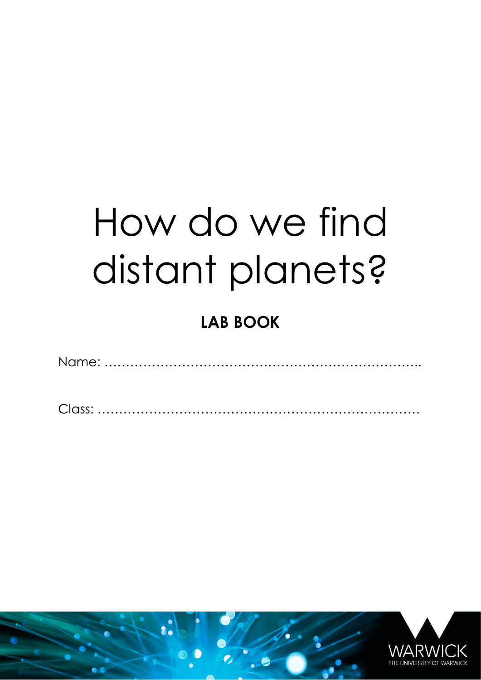# How do we find distant planets?

# **LAB BOOK**

Name: ………………………………………………………………..

Class: …………………………………………………………………

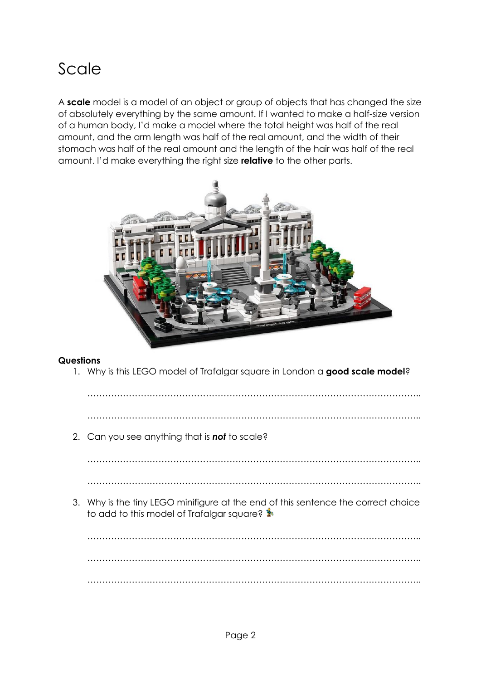# Scale

A **scale** model is a model of an object or group of objects that has changed the size of absolutely everything by the same amount. If I wanted to make a half-size version of a human body, I'd make a model where the total height was half of the real amount, and the arm length was half of the real amount, and the width of their stomach was half of the real amount and the length of the hair was half of the real amount. I'd make everything the right size **relative** to the other parts.



#### **Questions**

1. Why is this LEGO model of Trafalgar square in London a **good scale model**?

…………………………………………………………………………………………………..

…………………………………………………………………………………………………..

2. Can you see anything that is *not* to scale?

…………………………………………………………………………………………………..

…………………………………………………………………………………………………..

3. Why is the tiny LEGO minifigure at the end of this sentence the correct choice to add to this model of Trafalgar square?

………………………………………………………………………………………………….. ………………………………………………………………………………………………….. …………………………………………………………………………………………………..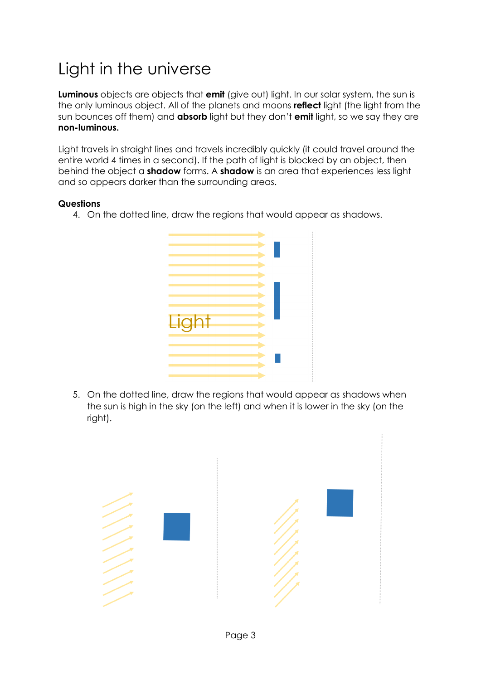# Light in the universe

**Luminous** objects are objects that **emit** (give out) light. In our solar system, the sun is the only luminous object. All of the planets and moons **reflect** light (the light from the sun bounces off them) and **absorb** light but they don't **emit** light, so we say they are **non-luminous.**

Light travels in straight lines and travels incredibly quickly (it could travel around the entire world 4 times in a second). If the path of light is blocked by an object, then behind the object a **shadow** forms. A **shadow** is an area that experiences less light and so appears darker than the surrounding areas.

#### **Questions**

4. On the dotted line, draw the regions that would appear as shadows.

| Light Light |  |
|-------------|--|
|             |  |
|             |  |

5. On the dotted line, draw the regions that would appear as shadows when the sun is high in the sky (on the left) and when it is lower in the sky (on the right).

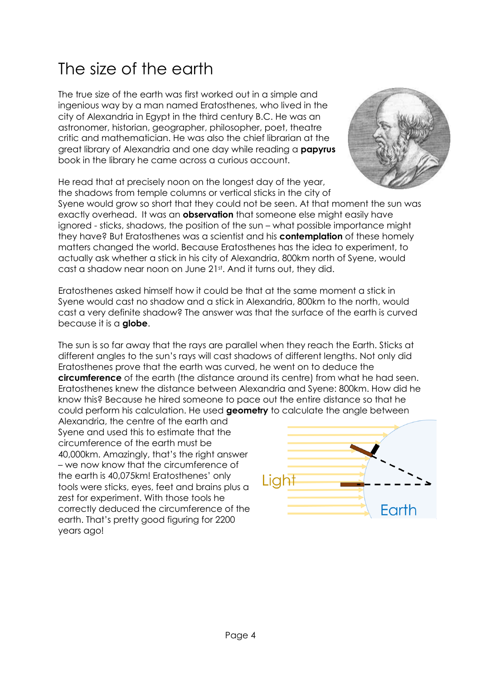# The size of the earth

The true size of the earth was first worked out in a simple and ingenious way by a man named Eratosthenes, who lived in the city of Alexandria in Egypt in the third century B.C. He was an astronomer, historian, geographer, philosopher, poet, theatre critic and mathematician. He was also the chief librarian at the great library of Alexandria and one day while reading a **papyrus** book in the library he came across a curious account.



He read that at precisely noon on the longest day of the year, the shadows from temple columns or vertical sticks in the city of

Syene would grow so short that they could not be seen. At that moment the sun was exactly overhead. It was an **observation** that someone else might easily have ignored - sticks, shadows, the position of the sun – what possible importance might they have? But Eratosthenes was a scientist and his **contemplation** of these homely matters changed the world. Because Eratosthenes has the idea to experiment, to actually ask whether a stick in his city of Alexandria, 800km north of Syene, would cast a shadow near noon on June 21st. And it turns out, they did.

Eratosthenes asked himself how it could be that at the same moment a stick in Syene would cast no shadow and a stick in Alexandria, 800km to the north, would cast a very definite shadow? The answer was that the surface of the earth is curved because it is a **globe**.

The sun is so far away that the rays are parallel when they reach the Earth. Sticks at different angles to the sun's rays will cast shadows of different lengths. Not only did Eratosthenes prove that the earth was curved, he went on to deduce the **circumference** of the earth (the distance around its centre) from what he had seen. Eratosthenes knew the distance between Alexandria and Syene: 800km. How did he know this? Because he hired someone to pace out the entire distance so that he could perform his calculation. He used **geometry** to calculate the angle between

Alexandria, the centre of the earth and Syene and used this to estimate that the circumference of the earth must be 40,000km. Amazingly, that's the right answer – we now know that the circumference of the earth is 40,075km! Eratosthenes' only tools were sticks, eyes, feet and brains plus a zest for experiment. With those tools he correctly deduced the circumference of the earth. That's pretty good figuring for 2200 years ago!

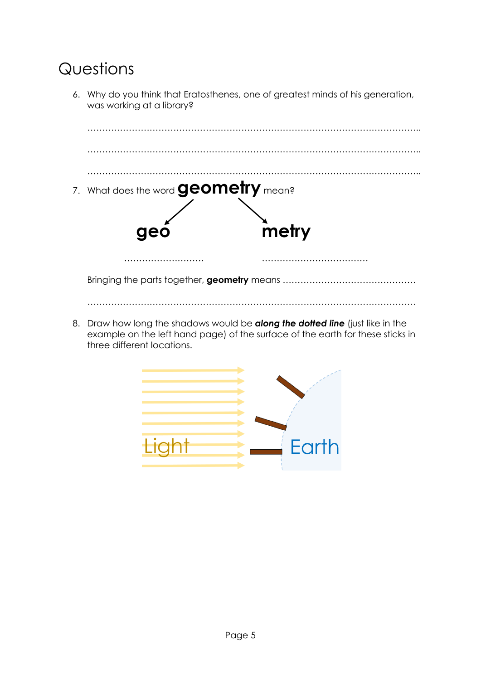### **Questions**

6. Why do you think that Eratosthenes, one of greatest minds of his generation, was working at a library?



8. Draw how long the shadows would be *along the dotted line* (just like in the example on the left hand page) of the surface of the earth for these sticks in three different locations.

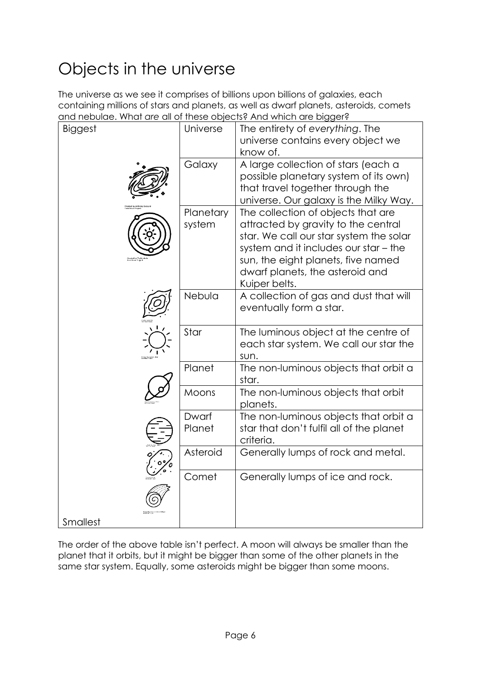# Objects in the universe

The universe as we see it comprises of billions upon billions of galaxies, each containing millions of stars and planets, as well as dwarf planets, asteroids, comets and nebulae. What *are* all of these objects? And which are bigger?

| $\sim$ . The protocolument of the protocolum |           | $\mathcal{L}$ , and minority bigger :    |
|----------------------------------------------|-----------|------------------------------------------|
| Biggest                                      | Universe  | The entirety of everything. The          |
|                                              |           | universe contains every object we        |
|                                              |           | know of.                                 |
|                                              | Galaxy    | A large collection of stars (each a      |
|                                              |           |                                          |
|                                              |           | possible planetary system of its own)    |
|                                              |           | that travel together through the         |
|                                              |           | universe. Our galaxy is the Milky Way.   |
|                                              | Planetary | The collection of objects that are       |
|                                              | system    | attracted by gravity to the central      |
|                                              |           | star. We call our star system the solar  |
|                                              |           | system and it includes our star - the    |
|                                              |           |                                          |
|                                              |           | sun, the eight planets, five named       |
|                                              |           | dwarf planets, the asteroid and          |
|                                              |           | Kuiper belts.                            |
|                                              | Nebula    | A collection of gas and dust that will   |
|                                              |           | eventually form a star.                  |
|                                              |           |                                          |
|                                              | Star      | The luminous object at the centre of     |
|                                              |           | each star system. We call our star the   |
|                                              |           | sun.                                     |
|                                              | Planet    | The non-luminous objects that orbit a    |
|                                              |           |                                          |
|                                              |           | star.                                    |
|                                              | Moons     | The non-luminous objects that orbit      |
|                                              |           | planets.                                 |
|                                              | Dwarf     | The non-luminous objects that orbit a    |
|                                              | Planet    | star that don't fulfil all of the planet |
|                                              |           | criteria.                                |
|                                              | Asteroid  | Generally lumps of rock and metal.       |
|                                              |           |                                          |
|                                              |           |                                          |
|                                              | Comet     | Generally lumps of ice and rock.         |
|                                              |           |                                          |
|                                              |           |                                          |
|                                              |           |                                          |
| Smallest                                     |           |                                          |

The order of the above table isn't perfect. A moon will always be smaller than the planet that it orbits, but it might be bigger than some of the other planets in the same star system. Equally, some asteroids might be bigger than some moons.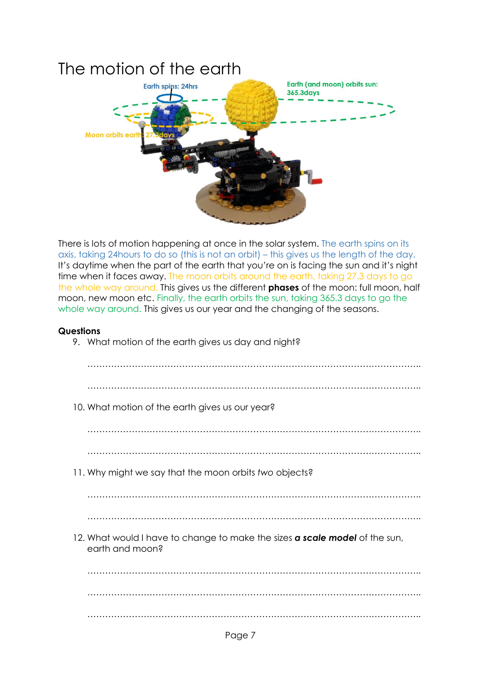

There is lots of motion happening at once in the solar system. The earth spins on its axis, taking 24hours to do so (this is not an orbit) – this gives us the length of the day. It's daytime when the part of the earth that you're on is facing the sun and it's night time when it faces away. The moon orbits around the earth, taking 27.3 days to go the whole way around. This gives us the different **phases** of the moon: full moon, half moon, new moon etc. Finally, the earth orbits the sun, taking 365.3 days to go the whole way around. This gives us our year and the changing of the seasons.

#### **Questions**

9. What motion of the earth gives us day and night?

| 10. What motion of the earth gives us our year?                                                       |
|-------------------------------------------------------------------------------------------------------|
|                                                                                                       |
|                                                                                                       |
| 11. Why might we say that the moon orbits two objects?                                                |
|                                                                                                       |
|                                                                                                       |
| 12. What would I have to change to make the sizes <b>a scale model</b> of the sun,<br>earth and moon? |
|                                                                                                       |
|                                                                                                       |
|                                                                                                       |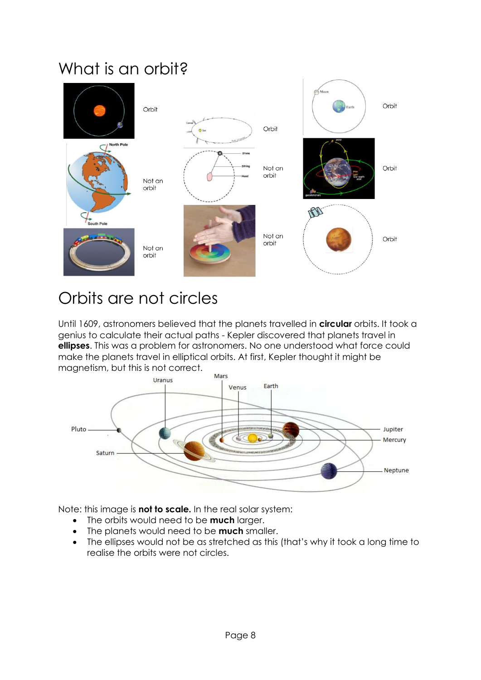## What is an orbit?



# Orbits are not circles

Until 1609, astronomers believed that the planets travelled in **circular** orbits. It took a genius to calculate their actual paths - Kepler discovered that planets travel in **ellipses**. This was a problem for astronomers. No one understood what force could make the planets travel in elliptical orbits. At first, Kepler thought it might be magnetism, but this is not correct.



Note: this image is **not to scale.** In the real solar system:

- The orbits would need to be **much** larger.
- The planets would need to be **much** smaller.
- The ellipses would not be as stretched as this (that's why it took a long time to realise the orbits were not circles.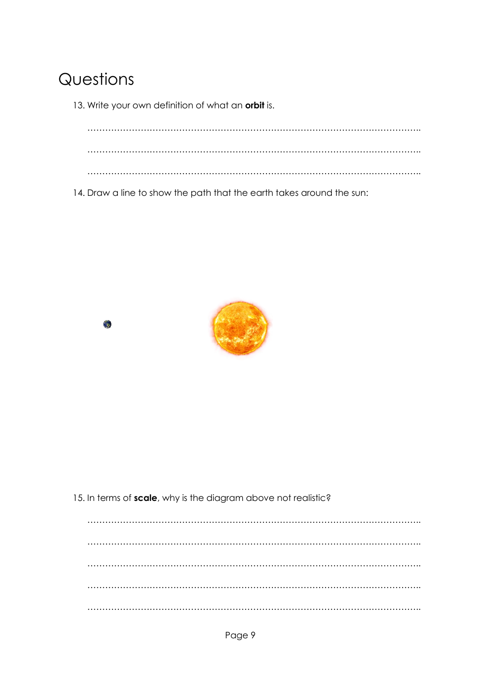# **Questions**

13. Write your own definition of what an **orbit** is.

………………………………………………………………………………………………….. ………………………………………………………………………………………………….. …………………………………………………………………………………………………..

14. Draw a line to show the path that the earth takes around the sun:



15. In terms of **scale**, why is the diagram above not realistic?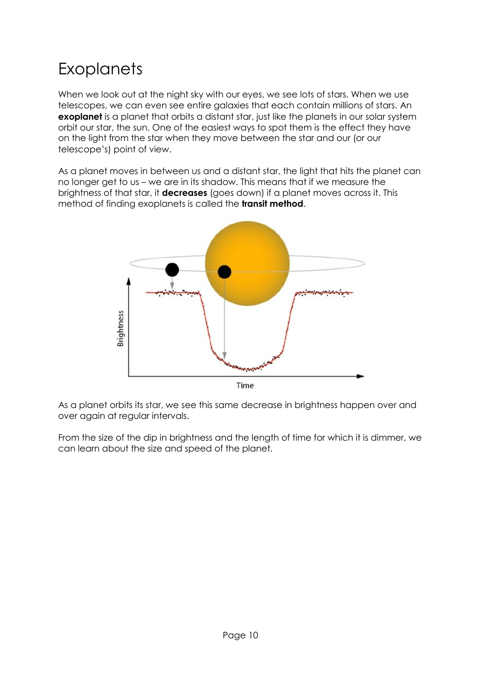# **Exoplanets**

When we look out at the night sky with our eyes, we see lots of stars. When we use telescopes, we can even see entire galaxies that each contain millions of stars. An **exoplanet** is a planet that orbits a distant star, just like the planets in our solar system orbit our star, the sun. One of the easiest ways to spot them is the effect they have on the light from the star when they move between the star and our (or our telescope's) point of view.

As a planet moves in between us and a distant star, the light that hits the planet can no longer get to us – we are in its shadow. This means that if we measure the brightness of that star, it **decreases** (goes down) if a planet moves across it. This method of finding exoplanets is called the **transit method**.



As a planet orbits its star, we see this same decrease in brightness happen over and over again at regular intervals.

From the size of the dip in brightness and the length of time for which it is dimmer, we can learn about the size and speed of the planet.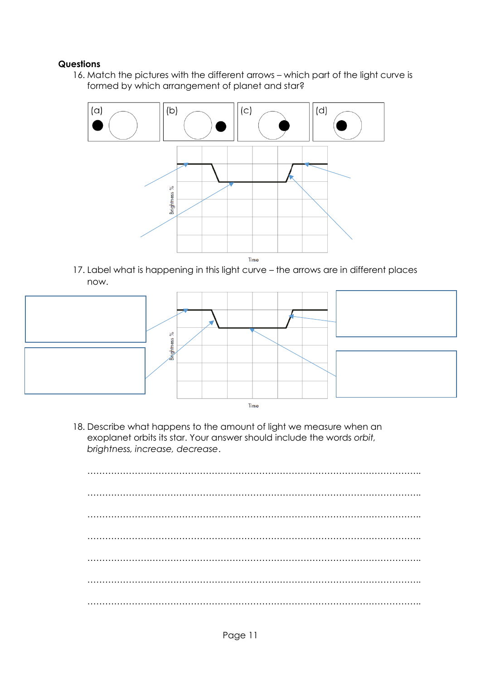#### **Questions**

16. Match the pictures with the different arrows – which part of the light curve is formed by which arrangement of planet and star?



17. Label what is happening in this light curve – the arrows are in different places now.



18. Describe what happens to the amount of light we measure when an exoplanet orbits its star. Your answer should include the words *orbit, brightness, increase, decrease*.

………………………………………………………………………………………………….. ………………………………………………………………………………………………….. ………………………………………………………………………………………………….. ………………………………………………………………………………………………….. ………………………………………………………………………………………………….. ………………………………………………………………………………………………….. …………………………………………………………………………………………………..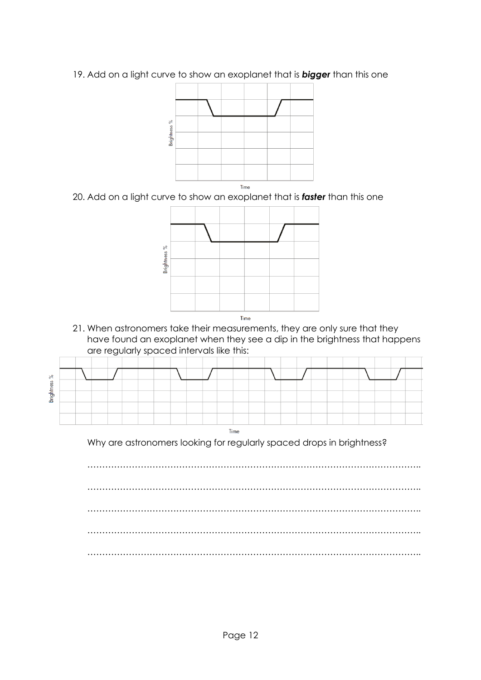19. Add on a light curve to show an exoplanet that is *bigger* than this one



20. Add on a light curve to show an exoplanet that is *faster* than this one



21. When astronomers take their measurements, they are only sure that they have found an exoplanet when they see a dip in the brightness that happens are regularly spaced intervals like this:



Why are astronomers looking for regularly spaced drops in brightness?

………………………………………………………………………………………………….. ………………………………………………………………………………………………….. ………………………………………………………………………………………………….. ………………………………………………………………………………………………….. …………………………………………………………………………………………………..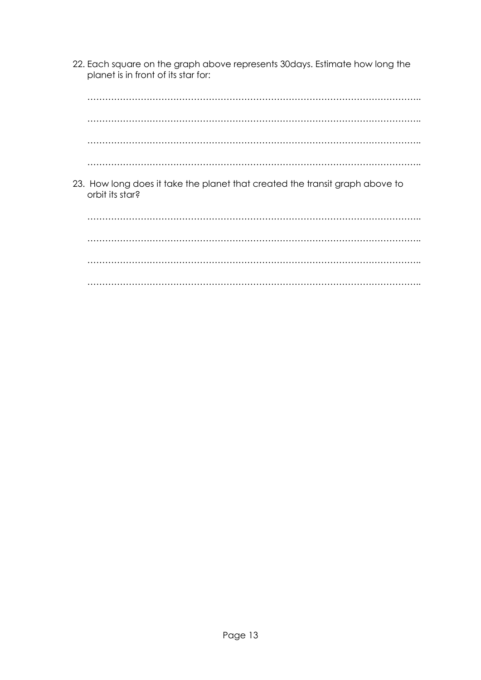22. Each square on the graph above represents 30days. Estimate how long the planet is in front of its star for: